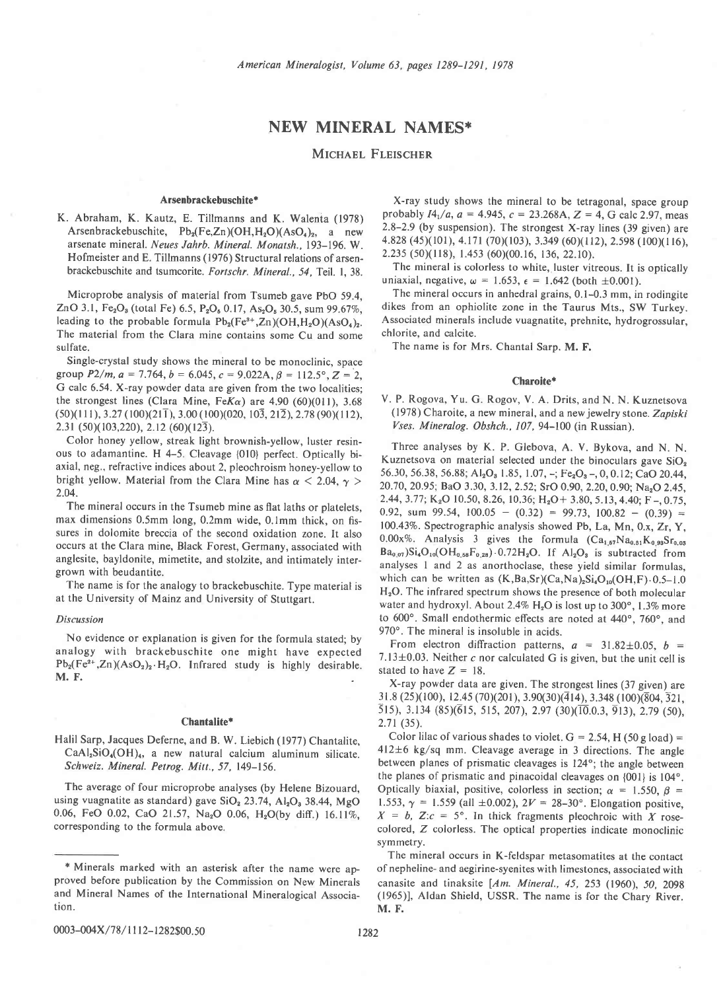# NEW MINERAL NAMES\*

# MICHAEL FLEISCHER

### Arsenbrackebuschite\*

K. Abraham, K. Kautz, E. Tillmanns and K. Walenta (1978) Arsenbrackebuschite,  $Pb_2(Fe,Zn)(OH,H_2O)(AsO_4)_2$ , a new arsenate mineral. Neues Jahrb. Mineral. Monatsh.. 193-196. W. Hofmeister and E. Tillmanns (1976) Structural relations of arsenbrackebuschite and tsumcorite. Fortschr. Mineral., 54, Teil. 1, 38.

Microprobe analysis of material from Tsumeb gave PbO 59.4, ZnO 3.1, Fe<sub>2</sub>O<sub>3</sub> (total Fe) 6.5, P<sub>2</sub>O<sub>5</sub> 0.17, As<sub>2</sub>O<sub>5</sub> 30.5, sum 99.67%, leading to the probable formula  $Pb_2(Fe^{3+}, Zn)(OH, H_2O)(AsO<sub>4</sub>)_2$ . The material from the Clara mine contains some Cu and some sulfate.

Single-crystal study shows the mineral to be monoclinic, space group  $P2/m$ ,  $a = 7.764$ ,  $b = 6.045$ ,  $c = 9.022A$ ,  $\beta = 112.5^{\circ}$ ,  $Z = 2$ , G calc 6.54. X-ray powder data are given from the two localities; the strongest lines (Clara Mine, Fe $K\alpha$ ) are 4.90 (60)(011), 3.68  $(50)(111), 3.27(100)(21\overline{1}), 3.00(100)(020, 10\overline{3}, 21\overline{2}), 2.78(90)(112),$ 2.31 (50)(103,220), 2.12 (60)(123).

Color honey yellow, streak light brownish-yellow, luster resinous to adamantine. H 4-5. Cleavage {010} perfect. Optically biaxial, neg., refractive indices about 2, pleochroism honey-yellow to bright yellow. Material from the Clara Mine has  $\alpha$  < 2.04,  $\gamma$  > 2.04.

The mineral occurs in the Tsumeb mine as flat laths or platelets, max dimensions 0.5mm long, 0.2mm wide, 0.lmm thick, on fissures in dolomite breccia of the second oxidation zone. It also occurs at the Clara mine, Black Forest, Germany, associated with anglesite, bayldonite, mimetite, and stolzite, and intimately intergrown with beudantite.

The name is for the analogy to brackebuschite. Type material is at the University of Mainz and University of Stuttgart.

## Discussion

No evidence or explanation is given for the formula stated; by analogy with brackebuschite one might have expected  $Pb_2(Fe^{2+}, Zn)(AsO<sub>2</sub>)<sub>2</sub>·H<sub>2</sub>O$ . Infrared study is highly desirable. M. F.

# Chantalite\*

Halil Sarp, Jacques Deferne, and B. W. Liebich (1977) Chantalite,  $CaAl<sub>2</sub>SiO<sub>4</sub>(OH)<sub>4</sub>$ , a new natural calcium aluminum silicate. Schweiz. Mineral. Petrog. Mitt., 57, 149-156.

The average of four microprobe analyses (by Helene Bizouard, using vuagnatite as standard) gave SiO<sub>2</sub> 23.74, Al<sub>2</sub>O<sub>3</sub> 38.44, MgO 0.06, FeO 0.02, CaO 21.57, Na<sub>2</sub>O 0.06, H<sub>2</sub>O(by diff.) 16.11%, corresponding to the formula above.

X-ray study shows the mineral to be tetragonal, space group probably  $I4_1/a$ ,  $a = 4.945$ ,  $c = 23.268$ A,  $Z = 4$ , G calc 2.97, meas 2.8-2.9 (by suspension). The strongest X-ray lines (39 given) are 4.828 (45)(101), 4.171 (70)(103), 3.349 (60)(112), 2.598 (100)(116),  $2.235$  (50)(118), 1.453 (60)(00.16, 136, 22.10).

The mineral is colorless to white, luster vitreous. It is optically uniaxial, negative,  $\omega = 1.653$ ,  $\epsilon = 1.642$  (both  $\pm 0.001$ ).

The mineral occurs in anhedral grains, 0.1-0.3 mm, in rodingite dikes from an ophiolite zone in the Taurus Mts., SW Turkey. Associated minerals include vuagnatite, prehnite, hydrogrossular, chlorite, and calcite.

The name is for Mrs. Chantal Sarp. M. F.

#### Charoite\*

V. P. Rogova, Yu. G. Rogov, V. A. Drits, and N. N. Kuznetsova (1978) Charoite, a new mineral, and a new jewelry stone. Zapiski Vses. Mineralog. Obshch., 107,94-100 (in Russian).

Three analyses by K. P. Glebova, A. V. Bykova, and N. N. Kuznetsova on material selected under the binoculars gave SiO<sub>2</sub> 56.30, 56.38, 56.88; Al<sub>2</sub>O<sub>3</sub> 1.85, 1.07, -; Fe<sub>2</sub>O<sub>3</sub>-, 0, 0.12; CaO 20.44, 20.70, 20.95; BaO 3.30, 3.12, 2.52; SrO 0.90, 2.20,0.90; Na,O 2.45, 2.44, 3.77; K<sub>2</sub>O 10.50, 8.26, 10.36; H<sub>2</sub>O + 3.80, 5.13, 4.40; F -, 0.75, 0.92, sum 99.54,  $100.05 - (0.32) = 99.73$ ,  $100.82 - (0.39) =$ 100.43%. Spectrographic analysis showed Pb, La, Mn, 0.x, Zr, Y,  $0.00x\%$ . Analysis 3 gives the formula  $(Ca_{1.57}Na_{0.51}K_{0.93}Sr_{0.05})$  $Ba_{0.07}$ )Si<sub>4</sub>O<sub>10</sub>(OH<sub>0.68</sub>F<sub>0.28</sub>).0.72H<sub>2</sub>O. If Al<sub>2</sub>O<sub>3</sub> is subtracted from analyses I and 2 as anorthoclase, these yield similar formulas, which can be written as  $(K,Ba,\text{Sr})(Ca,\text{Na})_2\text{Si}_4\text{O}_{10}(\text{OH},\text{F})\cdot 0.5-1.0$ H<sub>2</sub>O. The infrared spectrum shows the presence of both molecular water and hydroxyl. About 2.4%  $H_2O$  is lost up to 300°, 1.3% more to 600°. Small endothermic effects are noted at 440°, 760°, and 970°. The mineral is insoluble in acids.

From electron diffraction patterns,  $a = 31.82 \pm 0.05$ ,  $b =$ 7.13 $\pm$ 0.03. Neither c nor calculated G is given, but the unit cell is stated to have  $Z = 18$ .

X-ray powder data are given. The strongest lines (37 given) are  $31.8 \ (25)(100)$ ,  $12.45 \ (70)(201)$ ,  $3.90(30)(\overline{4}14)$ ,  $3.348 \ (100)(\overline{8}04, \overline{3}21)$ , 515), 3.134 (85)(615, 515, 207), 2.97 (30)( $\overline{10.0.3}$ ,  $\overline{913}$ ), 2.79 (50),  $2.71(35)$ .

Color lilac of various shades to violet.  $G = 2.54$ , H (50 g load) =  $412±6$  kg/sq mm. Cleavage average in 3 directions. The angle between planes of prismatic cleavages is 124°; the angle between the planes of prismatic and pinacoidal cleavages on  ${001}$  is  $104^\circ$ . Optically biaxial, positive, colorless in section;  $\alpha = 1.550$ ,  $\beta =$ 1.553,  $\gamma = 1.559$  (all  $\pm 0.002$ ),  $2V = 28-30^{\circ}$ . Elongation positive,  $X = b$ ,  $Z:c = 5^\circ$ . In thick fragments pleochroic with X rosecolored, Z colorless. The optical properties indicate monoclinic symmetry.

The mineral occurs in K-feldspar metasomatites at the contact of nepheline- and aegirine-syenites with limestones, associated with canasite and tinaksite  $[Am.$  Mineral., 45, 253 (1960), 50, 2098 (1965)], Aldan Shield, USSR. The name is for the Chary River. M. F.

<sup>\*</sup> Minerals marked with an asterisk after the name were approved before publication by the Commission on New Minerals and Mineral Names of the International Mineralogical Association.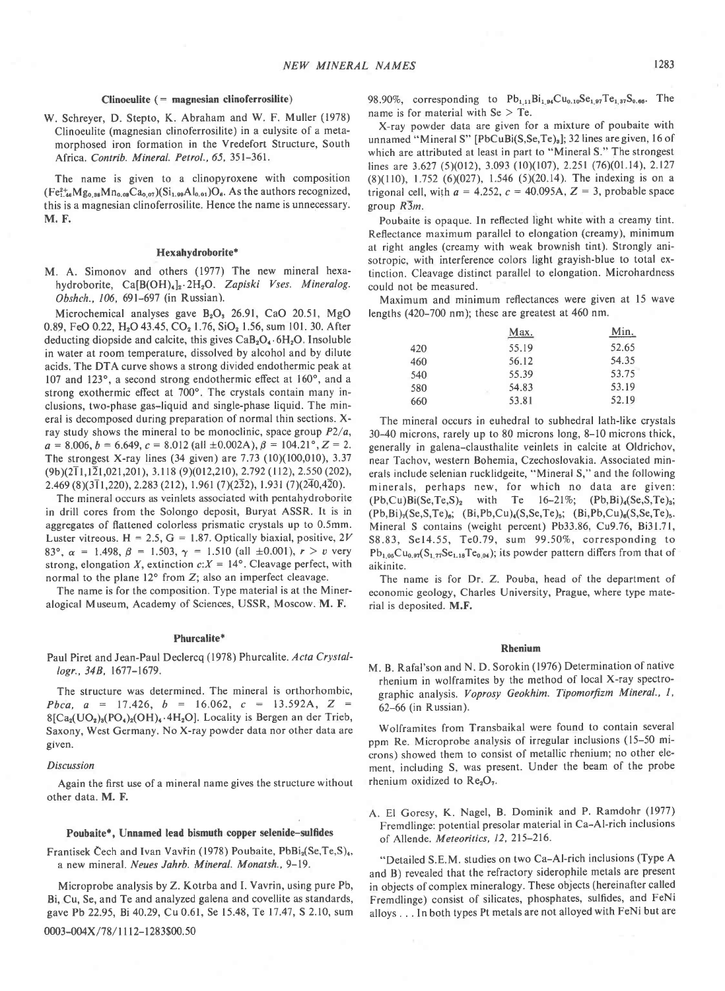# $Clinoculte (= magnesium clinoferrosilite)$

W. Schreyer, D. Stepto, K. Abraham and W. F. Muller (1978) Clinoeulite (magnesian clinoferrosilite) in a eulysite of a metamorphosed iron formation in the Vredefort Structure, South Africa. Contrib. Mineral. Petrol., 65, 351-361.

The name is given to a clinopyroxene with composition  $(Fe_{1.46}^{2+}Mg_{0.88}Mn_{0.08}Ca_{0.07})(Si_{1.99}Al_{0.01})O_6$ . As the authors recognized, this is a magnesian clinoferrosilite. Hence the name is unnecessary. M. F.

# Hexahydroborite\*

M. A. Simonov and others (1977) The new mineral hexahydroborite, Ca[B(OH)<sub>4</sub>]<sub>2</sub>.2H<sub>2</sub>O. Zapiski Vses. Mineralog. Obshch., 106, 691-697 (in Russian).

Microchemical analyses gave  $B_2O_3$  26.91, CaO 20.51, MgO 0.89, FeO 0.22, H<sub>2</sub>O 43.45, CO<sub>2</sub> 1.76, SiO<sub>2</sub> 1.56, sum 101. 30. After deducting diopside and calcite, this gives  $CaB<sub>2</sub>O<sub>4</sub>$ . 6H<sub>2</sub>O. Insoluble in water at room temperature, dissolved by alcohol and by dilute acids. The DTA curve shows a strong divided endothermic peak at 107 and 123°, a second strong endothermic effect at 160°, and a strong exothermic effect at 700°. The crystals contain many inclusions, two-phase gas-liquid and single-phase liquid. The mineral is decomposed during preparation of normal thin sections. Xray study shows the mineral to be monoclinic, space group  $P2/a$ ,  $a = 8.006$ ,  $b = 6.649$ ,  $c = 8.012$  (all  $\pm 0.002$ A),  $\beta = 104.21$ °,  $Z = 2$ . The strongest X-ray lines (34 given) are  $7.73$  (10)(100,010), 3.37  $(9b)(2\overline{1}1,1\overline{2}1,021,201)$ , 3.118  $(9)(012,210)$ , 2.792 (112), 2.550 (202),  $2.469 (8)(3\overline{1}1,220)$ ,  $2.283 (212)$ ,  $1.961 (7)(232)$ ,  $1.931 (7)(240,420)$ .

The mineral occurs as veinlets associated with pentahydroborite in drill cores from the Solongo deposit, Buryat ASSR. It is in aggregates of flattened colorless prismatic crystals up to 0.5mm. Luster vitreous. H = 2.5, G = 1.87. Optically biaxial, positive,  $2V$ 83°,  $\alpha = 1.498$ ,  $\beta = 1.503$ ,  $\gamma = 1.510$  (all  $\pm 0.001$ ),  $r > v$  very strong, elongation X, extinction  $c:X = 14^{\circ}$ . Cleavage perfect, with normal to the plane  $12^{\circ}$  from Z; also an imperfect cleavage.

The name is for the composition. Type material is at the Mineralogical Museum, Academy of Sciences, USSR, Moscow. M. F,

# Phurcalite\*

Paul Piret and Jean-Paul Declercq (1978) Phurcalite. Acta Crystal'  $logr$ .,  $34B$ ,  $1677-1679$ .

The structure was determined. The mineral is orthorhombic, Pbca,  $a = 17.426$ ,  $b = 16.062$ ,  $c = 13.592$ A,  $Z =$  $8[Ca<sub>2</sub>(UO<sub>2</sub>)<sub>3</sub>(PO<sub>4</sub>)<sub>2</sub>(OH)<sub>4</sub>·4H<sub>2</sub>O]$ . Locality is Bergen an der Trieb, Saxony, West Germany. No X-ray powder data nor other data are glven.

#### Discussion

Again the first use of a mineral name gives the structure without other data. M. F.

### Poubaite\*, Unnamed lead bismuth copper selenide-sulfides

Frantisek Čech and Ivan Vavřin (1978) Poubaite, PbBi<sub>2</sub>(Se,Te,S)<sub>4</sub>, a new mineral. Neues Jahrb. Mineral. Monatsh., 9-19.

Microprobe analysis by Z. Kotrba and I. Vavrin, using pure Pb, Bi, Cu, Se, and Te and analyzed galena and covellite as standards, gave Pb 22.95, Bi 40.29, Cu 0.61, Se 15.48, Te 17.47, S 2.10, sum

0003-004X/78/1112-1283\$00.50

98,90%, corresponding to  $Pb_{1,11}Bi_{1,94}Cu_{0,10}Se_{1,97}Te_{1,87}S_{0,66}$ . The name is for material with  $Se > Te$ .

X-ray powder data are given for a mixture of poubaite with unnamed "Mineral S" [PbCuBi(S,Se,Te)<sub>a</sub>]; 32 lines are given, 16 of which are attributed at least in part to "Mineral S." The strongest lines are  $3.627$  (5)(012), 3.093 (10)(107), 2.251 (76)(01.14), 2.127  $(8)(110)$ , 1.752  $(6)(027)$ , 1.546  $(5)(20.14)$ . The indexing is on a trigonal cell, with  $a = 4.252$ ,  $c = 40.095A$ ,  $Z = 3$ , probable space group  $R\overline{3}m$ .

Poubaite is opaque. In reflected light white with a creamy tint. Reflectance maximum parallel to elongation (creamy), minimum at right angles (creamy with weak brownish tint). Strongly anisotropic, with interference colors light grayish-blue to total extinction. Cleavage distinct parallel to elongation. Microhardness could not be measured.

Maximum and minimum reflectances were given at 15 wave lengths (420-700 nm); these are greatest at 460 nm.

|     | Max.  | Min.  |
|-----|-------|-------|
| 420 | 55.19 | 52.65 |
| 460 | 56.12 | 54.35 |
| 540 | 55.39 | 53.75 |
| 580 | 54.83 | 53.19 |
| 660 | 53.81 | 52.19 |

The mineral occurs in euhedral to subhedral lath-like crystals 30-40 microns, rarely up to 80 microns long, 8-10 microns thick, generally in galena-clausthalite veinlets in calcite at Oldrichov, near Tachov, western Bohemia, Czechoslovakia. Associated minerals include selenian rucklidgeite, "Mineral S," and the following minerals, perhaps new, for which no data are given:  $(Pb,Cu)Bi(Se,Te,S)_2$  with Te 16-21%;  $(Pb,Bi)_{4}(Se,S,Te)_{3};$  $(Pb, Bi)_{7}$ (Se,S,Te)<sub>6</sub>; (Bi,Pb,Cu)<sub>4</sub>(S,Se,Te)<sub>5</sub>; (Bi,Pb,Cu)<sub>6</sub>(S,Se,Te)<sub>5</sub>. Mineral S contains (weight percent) Pb33.86, Cu9.76, Bi3l.7l, S8.83, Se14.55, Te0.79, sum 99.50%, corresponding to  $Pb_{1.05}Cu_{0.97}(S_{1.77}Se_{1.18}Te_{0.04})$ ; its powder pattern differs from that of aikinite.

The name is for Dr. Z. Pouba, head of the department of economic geology, Charles University, Prague, where type material is deposited. M.F.

# Rhenium

M. B. Rafal'son and N. D. Sorokin (1976) Determination of native rhenium in wolframites by the method of local X-ray spectrographic analysis. Voprosy Geokhim. Tipomorfizm Mineral., 1, 62-66 (in Russian).

Wolframites from Transbaikal were found to contain several ppm Re. Microprobe analysis of irregular inclusions (15-50 microns) showed them to consist of metallic rhenium; no other element, including S, was present. Under the beam of the probe rhenium oxidized to Re<sub>2</sub>O<sub>7</sub>.

A. El Goresy, K. Nagel, B. Dominik and P. Ramdohr (1977) Fremdlinge: potential presolar material in Ca-Al-rich inclusions of Allende. Meteoritics, 12, 215-216.

"Detailed S.E.M. studies on two Ca-Al-rich inclusions (Type A and B) revealed that the refractory siderophile metals are present in objects of complex mineralogy. These objects (hereinafter called Fremdlinge) consist of silicates, phosphates, sulfides, and FeNi alloys . . . In both types Pt metals are not alloyed with FeNi but are